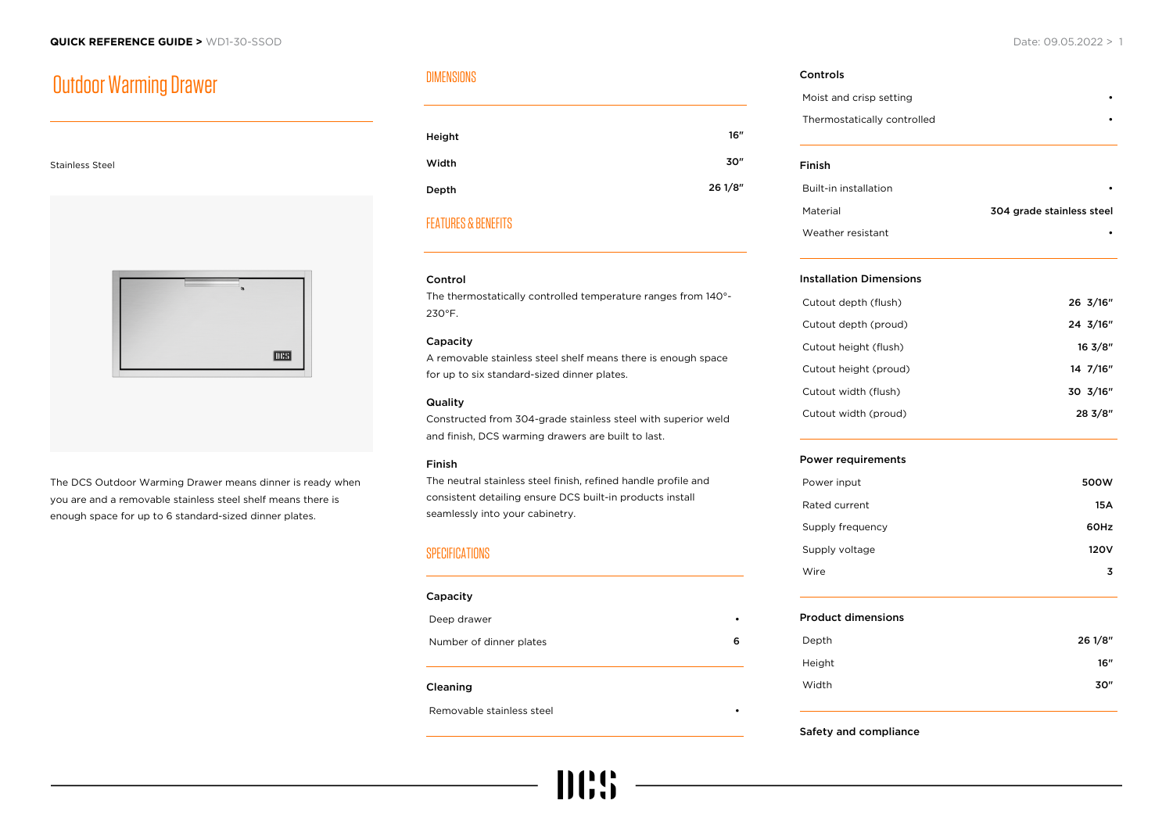# Outdoor Warming Drawer

Stainless Steel

# **THES**

The DCS Outdoor Warming Drawer means dinner is ready when you are and a removable stainless steel shelf means there is enough space for up to 6 standard-sized dinner plates.

## DIMENSIONS

| Height | 16"     |
|--------|---------|
| Width  | 30"     |
| Depth  | 26 1/8" |

# FEATURES & BENEFITS

### Control

The thermostatically controlled temperature ranges from 140°- 230°F.

### Capacity

A removable stainless steel shelf means there is enough space for up to six standard-sized dinner plates.

### **Quality**

Constructed from 304-grade stainless steel with superior weld and finish, DCS warming drawers are built to last.

### Finish

The neutral stainless steel finish, refined handle profile and consistent detailing ensure DCS built-in products install seamlessly into your cabinetry.

### **SPECIFICATIONS**

| Capacity                |   |
|-------------------------|---|
| Deep drawer             | ٠ |
| Number of dinner plates | 6 |
| Cleaning                |   |

111:95

Removable stainless steel •

# Controls Moist and crisp setting • Thermostatically controlled • Finish Built-in installation • Material 304 grade stainless steel Weather resistant

### Installation Dimensions

| Cutout depth (flush)  | 26 3/16"           |
|-----------------------|--------------------|
| Cutout depth (proud)  | 24 3/16"           |
| Cutout height (flush) | $16 \frac{3}{8}$ " |
| Cutout height (proud) | 14 7/16"           |
| Cutout width (flush)  | 30 3/16"           |
| Cutout width (proud)  | 28 3/8"            |
|                       |                    |

### Power requirements

| Power input      | 500W |
|------------------|------|
| Rated current    | 15A  |
| Supply frequency | 60Hz |
| Supply voltage   | 120V |
| Wire             | 3    |

### Product dimensions

| Depth  | 26 1/8" |
|--------|---------|
| Height | 16"     |
| Width  | 30"     |

### Safety and compliance